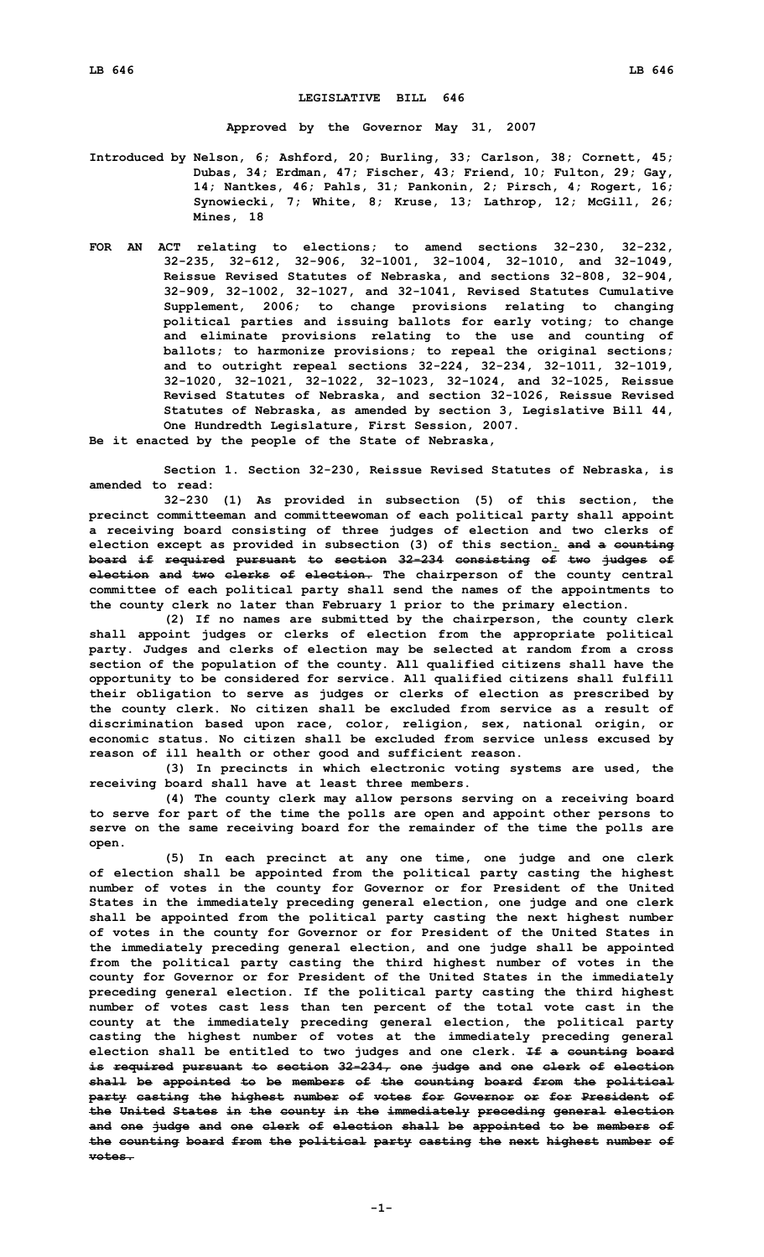## **LEGISLATIVE BILL 646**

**Approved by the Governor May 31, 2007**

- **Introduced by Nelson, 6; Ashford, 20; Burling, 33; Carlson, 38; Cornett, 45; Dubas, 34; Erdman, 47; Fischer, 43; Friend, 10; Fulton, 29; Gay, 14; Nantkes, 46; Pahls, 31; Pankonin, 2; Pirsch, 4; Rogert, 16; Synowiecki, 7; White, 8; Kruse, 13; Lathrop, 12; McGill, 26; Mines, 18**
- **FOR AN ACT relating to elections; to amend sections 32-230, 32-232, 32-235, 32-612, 32-906, 32-1001, 32-1004, 32-1010, and 32-1049, Reissue Revised Statutes of Nebraska, and sections 32-808, 32-904, 32-909, 32-1002, 32-1027, and 32-1041, Revised Statutes Cumulative Supplement, 2006; to change provisions relating to changing political parties and issuing ballots for early voting; to change and eliminate provisions relating to the use and counting of ballots; to harmonize provisions; to repeal the original sections; and to outright repeal sections 32-224, 32-234, 32-1011, 32-1019, 32-1020, 32-1021, 32-1022, 32-1023, 32-1024, and 32-1025, Reissue Revised Statutes of Nebraska, and section 32-1026, Reissue Revised Statutes of Nebraska, as amended by section 3, Legislative Bill 44, One Hundredth Legislature, First Session, 2007.**
- **Be it enacted by the people of the State of Nebraska,**

**Section 1. Section 32-230, Reissue Revised Statutes of Nebraska, is amended to read:**

**32-230 (1) As provided in subsection (5) of this section, the precinct committeeman and committeewoman of each political party shall appoint <sup>a</sup> receiving board consisting of three judges of election and two clerks of election except as provided in subsection (3) of this section. and <sup>a</sup> counting board if required pursuant to section 32-234 consisting of two judges of election and two clerks of election. The chairperson of the county central committee of each political party shall send the names of the appointments to the county clerk no later than February 1 prior to the primary election.**

**(2) If no names are submitted by the chairperson, the county clerk shall appoint judges or clerks of election from the appropriate political party. Judges and clerks of election may be selected at random from <sup>a</sup> cross section of the population of the county. All qualified citizens shall have the opportunity to be considered for service. All qualified citizens shall fulfill their obligation to serve as judges or clerks of election as prescribed by the county clerk. No citizen shall be excluded from service as <sup>a</sup> result of discrimination based upon race, color, religion, sex, national origin, or economic status. No citizen shall be excluded from service unless excused by reason of ill health or other good and sufficient reason.**

**(3) In precincts in which electronic voting systems are used, the receiving board shall have at least three members.**

**(4) The county clerk may allow persons serving on <sup>a</sup> receiving board to serve for part of the time the polls are open and appoint other persons to serve on the same receiving board for the remainder of the time the polls are open.**

**(5) In each precinct at any one time, one judge and one clerk of election shall be appointed from the political party casting the highest number of votes in the county for Governor or for President of the United States in the immediately preceding general election, one judge and one clerk shall be appointed from the political party casting the next highest number of votes in the county for Governor or for President of the United States in the immediately preceding general election, and one judge shall be appointed from the political party casting the third highest number of votes in the county for Governor or for President of the United States in the immediately preceding general election. If the political party casting the third highest number of votes cast less than ten percent of the total vote cast in the county at the immediately preceding general election, the political party casting the highest number of votes at the immediately preceding general election shall be entitled to two judges and one clerk. If <sup>a</sup> counting board is required pursuant to section 32-234, one judge and one clerk of election shall be appointed to be members of the counting board from the political party casting the highest number of votes for Governor or for President of the United States in the county in the immediately preceding general election and one judge and one clerk of election shall be appointed to be members of the counting board from the political party casting the next highest number of votes.**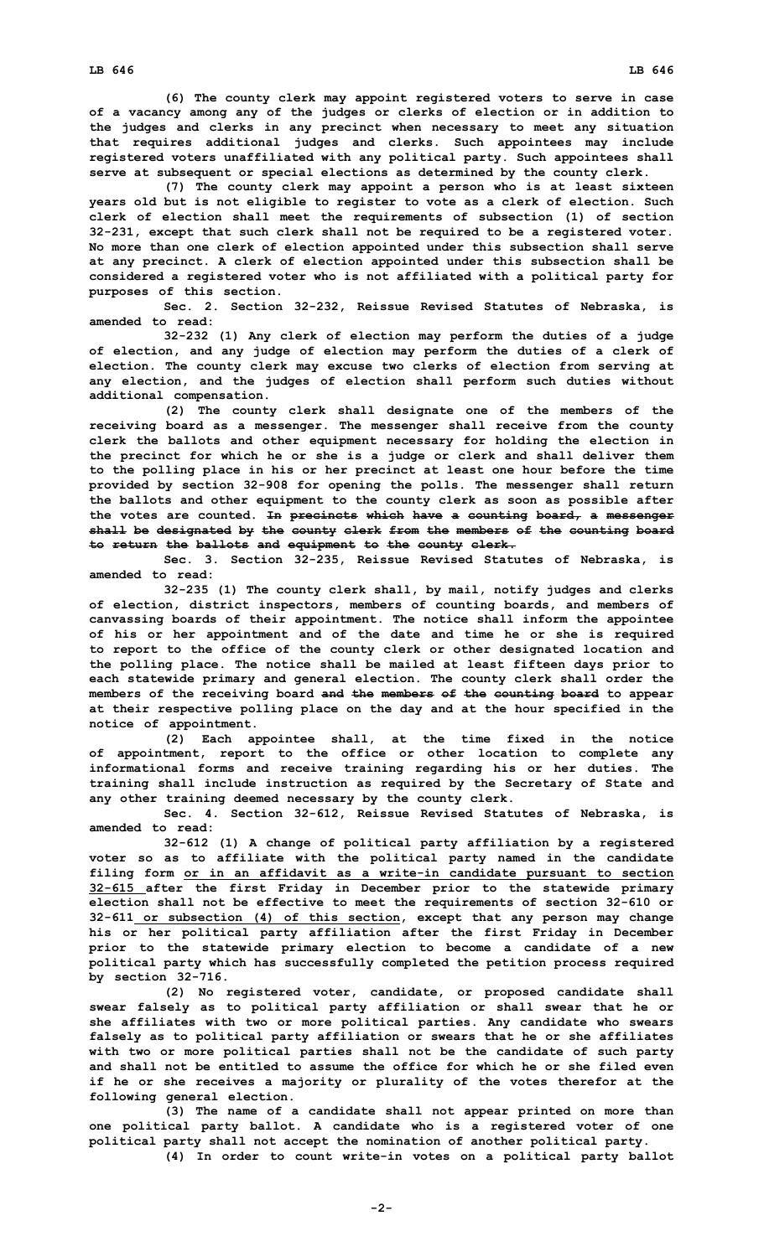**(6) The county clerk may appoint registered voters to serve in case of <sup>a</sup> vacancy among any of the judges or clerks of election or in addition to the judges and clerks in any precinct when necessary to meet any situation that requires additional judges and clerks. Such appointees may include registered voters unaffiliated with any political party. Such appointees shall serve at subsequent or special elections as determined by the county clerk.**

**(7) The county clerk may appoint <sup>a</sup> person who is at least sixteen years old but is not eligible to register to vote as <sup>a</sup> clerk of election. Such clerk of election shall meet the requirements of subsection (1) of section 32-231, except that such clerk shall not be required to be <sup>a</sup> registered voter. No more than one clerk of election appointed under this subsection shall serve at any precinct. A clerk of election appointed under this subsection shall be considered <sup>a</sup> registered voter who is not affiliated with <sup>a</sup> political party for purposes of this section.**

**Sec. 2. Section 32-232, Reissue Revised Statutes of Nebraska, is amended to read:**

**32-232 (1) Any clerk of election may perform the duties of <sup>a</sup> judge of election, and any judge of election may perform the duties of <sup>a</sup> clerk of election. The county clerk may excuse two clerks of election from serving at any election, and the judges of election shall perform such duties without additional compensation.**

**(2) The county clerk shall designate one of the members of the receiving board as <sup>a</sup> messenger. The messenger shall receive from the county clerk the ballots and other equipment necessary for holding the election in the precinct for which he or she is <sup>a</sup> judge or clerk and shall deliver them to the polling place in his or her precinct at least one hour before the time provided by section 32-908 for opening the polls. The messenger shall return the ballots and other equipment to the county clerk as soon as possible after the votes are counted. In precincts which have <sup>a</sup> counting board, <sup>a</sup> messenger shall be designated by the county clerk from the members of the counting board to return the ballots and equipment to the county clerk.**

**Sec. 3. Section 32-235, Reissue Revised Statutes of Nebraska, is amended to read:**

**32-235 (1) The county clerk shall, by mail, notify judges and clerks of election, district inspectors, members of counting boards, and members of canvassing boards of their appointment. The notice shall inform the appointee of his or her appointment and of the date and time he or she is required to report to the office of the county clerk or other designated location and the polling place. The notice shall be mailed at least fifteen days prior to each statewide primary and general election. The county clerk shall order the members of the receiving board and the members of the counting board to appear at their respective polling place on the day and at the hour specified in the notice of appointment.**

**(2) Each appointee shall, at the time fixed in the notice of appointment, report to the office or other location to complete any informational forms and receive training regarding his or her duties. The training shall include instruction as required by the Secretary of State and any other training deemed necessary by the county clerk.**

**Sec. 4. Section 32-612, Reissue Revised Statutes of Nebraska, is amended to read:**

**32-612 (1) <sup>A</sup> change of political party affiliation by <sup>a</sup> registered voter so as to affiliate with the political party named in the candidate filing form or in an affidavit as <sup>a</sup> write-in candidate pursuant to section 32-615 after the first Friday in December prior to the statewide primary election shall not be effective to meet the requirements of section 32-610 or 32-611 or subsection (4) of this section, except that any person may change his or her political party affiliation after the first Friday in December prior to the statewide primary election to become <sup>a</sup> candidate of <sup>a</sup> new political party which has successfully completed the petition process required by section 32-716.**

**(2) No registered voter, candidate, or proposed candidate shall swear falsely as to political party affiliation or shall swear that he or she affiliates with two or more political parties. Any candidate who swears falsely as to political party affiliation or swears that he or she affiliates with two or more political parties shall not be the candidate of such party and shall not be entitled to assume the office for which he or she filed even if he or she receives <sup>a</sup> majority or plurality of the votes therefor at the following general election.**

**(3) The name of <sup>a</sup> candidate shall not appear printed on more than one political party ballot. A candidate who is <sup>a</sup> registered voter of one political party shall not accept the nomination of another political party. (4) In order to count write-in votes on <sup>a</sup> political party ballot**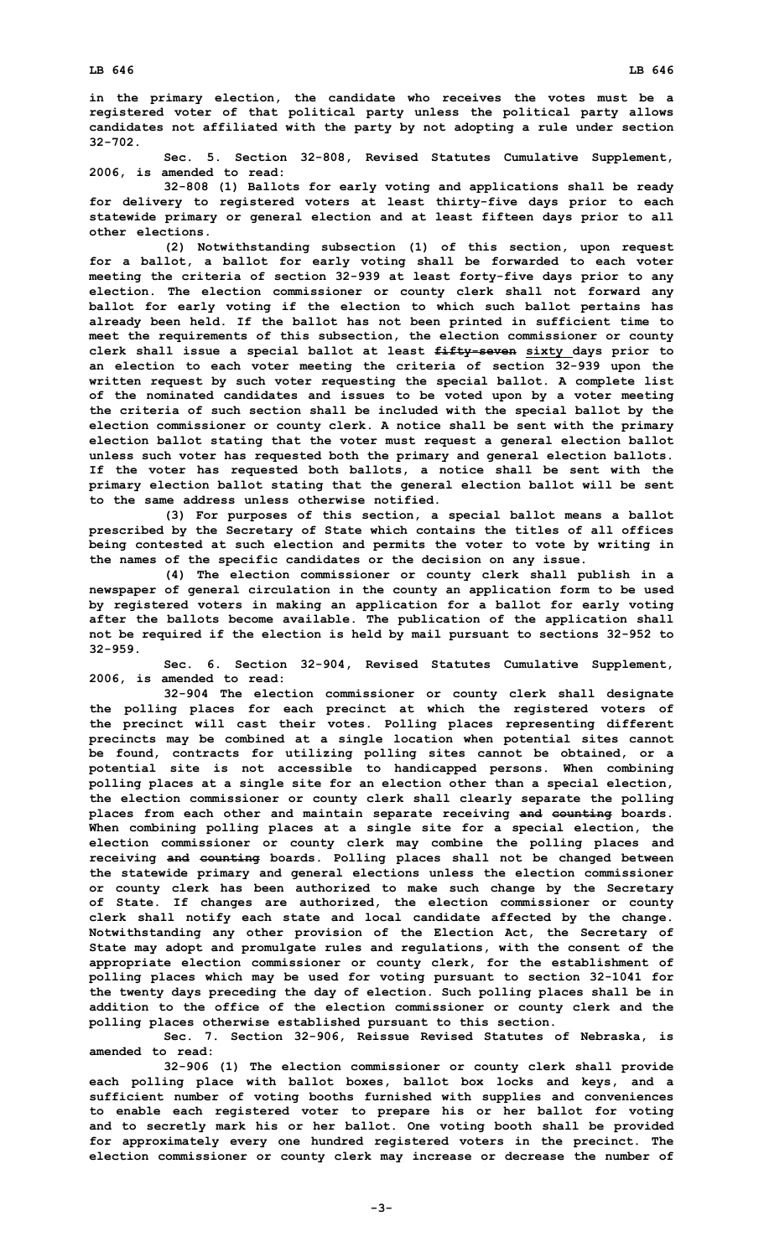**in the primary election, the candidate who receives the votes must be <sup>a</sup> registered voter of that political party unless the political party allows candidates not affiliated with the party by not adopting <sup>a</sup> rule under section 32-702.**

**Sec. 5. Section 32-808, Revised Statutes Cumulative Supplement, 2006, is amended to read:**

**32-808 (1) Ballots for early voting and applications shall be ready for delivery to registered voters at least thirty-five days prior to each statewide primary or general election and at least fifteen days prior to all other elections.**

**(2) Notwithstanding subsection (1) of this section, upon request for <sup>a</sup> ballot, <sup>a</sup> ballot for early voting shall be forwarded to each voter meeting the criteria of section 32-939 at least forty-five days prior to any election. The election commissioner or county clerk shall not forward any ballot for early voting if the election to which such ballot pertains has already been held. If the ballot has not been printed in sufficient time to meet the requirements of this subsection, the election commissioner or county clerk shall issue <sup>a</sup> special ballot at least fifty-seven sixty days prior to an election to each voter meeting the criteria of section 32-939 upon the written request by such voter requesting the special ballot. A complete list of the nominated candidates and issues to be voted upon by <sup>a</sup> voter meeting the criteria of such section shall be included with the special ballot by the election commissioner or county clerk. A notice shall be sent with the primary election ballot stating that the voter must request <sup>a</sup> general election ballot unless such voter has requested both the primary and general election ballots. If the voter has requested both ballots, <sup>a</sup> notice shall be sent with the primary election ballot stating that the general election ballot will be sent to the same address unless otherwise notified.**

**(3) For purposes of this section, <sup>a</sup> special ballot means <sup>a</sup> ballot prescribed by the Secretary of State which contains the titles of all offices being contested at such election and permits the voter to vote by writing in the names of the specific candidates or the decision on any issue.**

**(4) The election commissioner or county clerk shall publish in <sup>a</sup> newspaper of general circulation in the county an application form to be used by registered voters in making an application for <sup>a</sup> ballot for early voting after the ballots become available. The publication of the application shall not be required if the election is held by mail pursuant to sections 32-952 to 32-959.**

**Sec. 6. Section 32-904, Revised Statutes Cumulative Supplement, 2006, is amended to read:**

**32-904 The election commissioner or county clerk shall designate the polling places for each precinct at which the registered voters of the precinct will cast their votes. Polling places representing different precincts may be combined at <sup>a</sup> single location when potential sites cannot be found, contracts for utilizing polling sites cannot be obtained, or <sup>a</sup> potential site is not accessible to handicapped persons. When combining polling places at <sup>a</sup> single site for an election other than <sup>a</sup> special election, the election commissioner or county clerk shall clearly separate the polling places from each other and maintain separate receiving and counting boards. When combining polling places at <sup>a</sup> single site for <sup>a</sup> special election, the election commissioner or county clerk may combine the polling places and receiving and counting boards. Polling places shall not be changed between the statewide primary and general elections unless the election commissioner or county clerk has been authorized to make such change by the Secretary of State. If changes are authorized, the election commissioner or county clerk shall notify each state and local candidate affected by the change. Notwithstanding any other provision of the Election Act, the Secretary of State may adopt and promulgate rules and regulations, with the consent of the appropriate election commissioner or county clerk, for the establishment of polling places which may be used for voting pursuant to section 32-1041 for the twenty days preceding the day of election. Such polling places shall be in addition to the office of the election commissioner or county clerk and the polling places otherwise established pursuant to this section.**

**Sec. 7. Section 32-906, Reissue Revised Statutes of Nebraska, is amended to read:**

**32-906 (1) The election commissioner or county clerk shall provide each polling place with ballot boxes, ballot box locks and keys, and <sup>a</sup> sufficient number of voting booths furnished with supplies and conveniences to enable each registered voter to prepare his or her ballot for voting and to secretly mark his or her ballot. One voting booth shall be provided for approximately every one hundred registered voters in the precinct. The election commissioner or county clerk may increase or decrease the number of**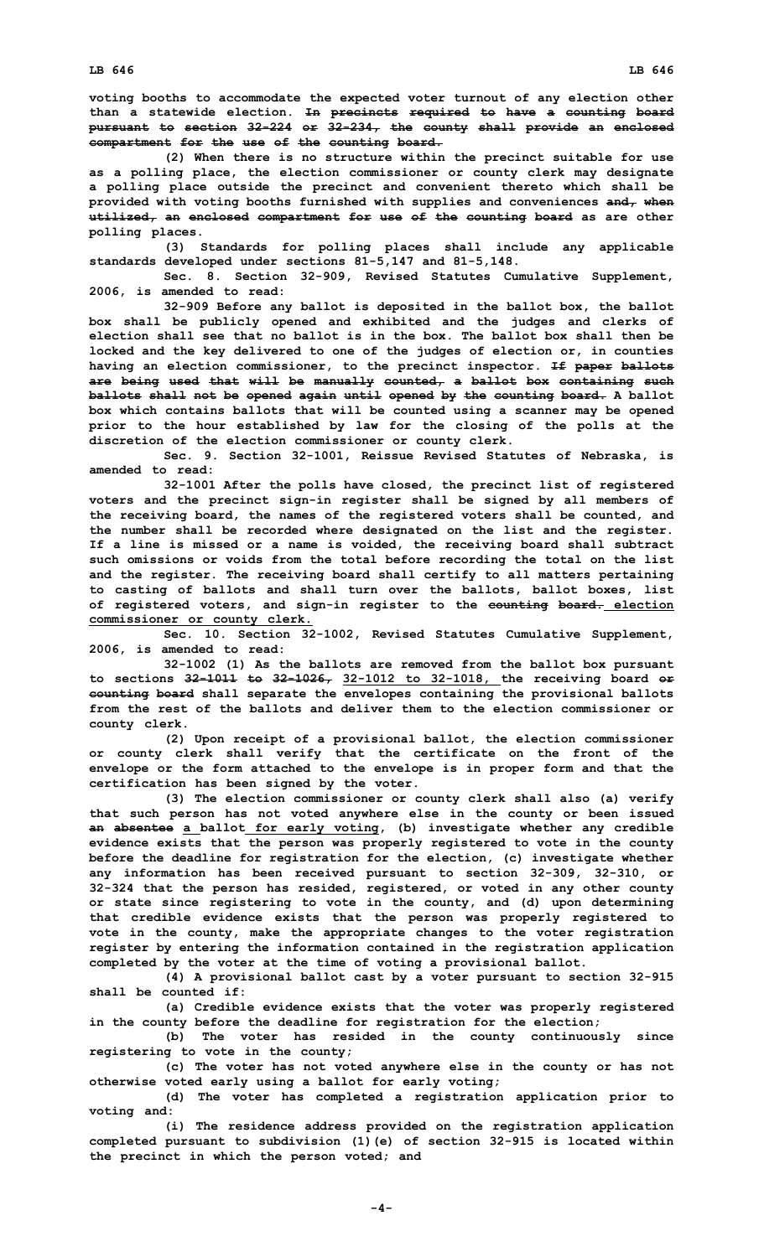**voting booths to accommodate the expected voter turnout of any election other than <sup>a</sup> statewide election. In precincts required to have <sup>a</sup> counting board pursuant to section 32-224 or 32-234, the county shall provide an enclosed compartment for the use of the counting board.**

**(2) When there is no structure within the precinct suitable for use as <sup>a</sup> polling place, the election commissioner or county clerk may designate <sup>a</sup> polling place outside the precinct and convenient thereto which shall be provided with voting booths furnished with supplies and conveniences and, when utilized, an enclosed compartment for use of the counting board as are other polling places.**

**(3) Standards for polling places shall include any applicable standards developed under sections 81-5,147 and 81-5,148.**

**Sec. 8. Section 32-909, Revised Statutes Cumulative Supplement, 2006, is amended to read:**

**32-909 Before any ballot is deposited in the ballot box, the ballot box shall be publicly opened and exhibited and the judges and clerks of election shall see that no ballot is in the box. The ballot box shall then be locked and the key delivered to one of the judges of election or, in counties having an election commissioner, to the precinct inspector. If paper ballots are being used that will be manually counted, <sup>a</sup> ballot box containing such ballots shall not be opened again until opened by the counting board. A ballot box which contains ballots that will be counted using <sup>a</sup> scanner may be opened prior to the hour established by law for the closing of the polls at the discretion of the election commissioner or county clerk.**

**Sec. 9. Section 32-1001, Reissue Revised Statutes of Nebraska, is amended to read:**

**32-1001 After the polls have closed, the precinct list of registered voters and the precinct sign-in register shall be signed by all members of the receiving board, the names of the registered voters shall be counted, and the number shall be recorded where designated on the list and the register. If <sup>a</sup> line is missed or <sup>a</sup> name is voided, the receiving board shall subtract such omissions or voids from the total before recording the total on the list and the register. The receiving board shall certify to all matters pertaining to casting of ballots and shall turn over the ballots, ballot boxes, list of registered voters, and sign-in register to the counting board. election commissioner or county clerk.**

**Sec. 10. Section 32-1002, Revised Statutes Cumulative Supplement, 2006, is amended to read:**

**32-1002 (1) As the ballots are removed from the ballot box pursuant to sections 32-1011 to 32-1026, 32-1012 to 32-1018, the receiving board or counting board shall separate the envelopes containing the provisional ballots from the rest of the ballots and deliver them to the election commissioner or county clerk.**

**(2) Upon receipt of <sup>a</sup> provisional ballot, the election commissioner or county clerk shall verify that the certificate on the front of the envelope or the form attached to the envelope is in proper form and that the certification has been signed by the voter.**

**(3) The election commissioner or county clerk shall also (a) verify that such person has not voted anywhere else in the county or been issued an absentee <sup>a</sup> ballot for early voting, (b) investigate whether any credible evidence exists that the person was properly registered to vote in the county before the deadline for registration for the election, (c) investigate whether any information has been received pursuant to section 32-309, 32-310, or 32-324 that the person has resided, registered, or voted in any other county or state since registering to vote in the county, and (d) upon determining that credible evidence exists that the person was properly registered to vote in the county, make the appropriate changes to the voter registration register by entering the information contained in the registration application completed by the voter at the time of voting <sup>a</sup> provisional ballot.**

**(4) <sup>A</sup> provisional ballot cast by <sup>a</sup> voter pursuant to section 32-915 shall be counted if:**

**(a) Credible evidence exists that the voter was properly registered in the county before the deadline for registration for the election;**

**(b) The voter has resided in the county continuously since registering to vote in the county;**

**(c) The voter has not voted anywhere else in the county or has not otherwise voted early using <sup>a</sup> ballot for early voting;**

**(d) The voter has completed <sup>a</sup> registration application prior to voting and:**

**(i) The residence address provided on the registration application completed pursuant to subdivision (1)(e) of section 32-915 is located within the precinct in which the person voted; and**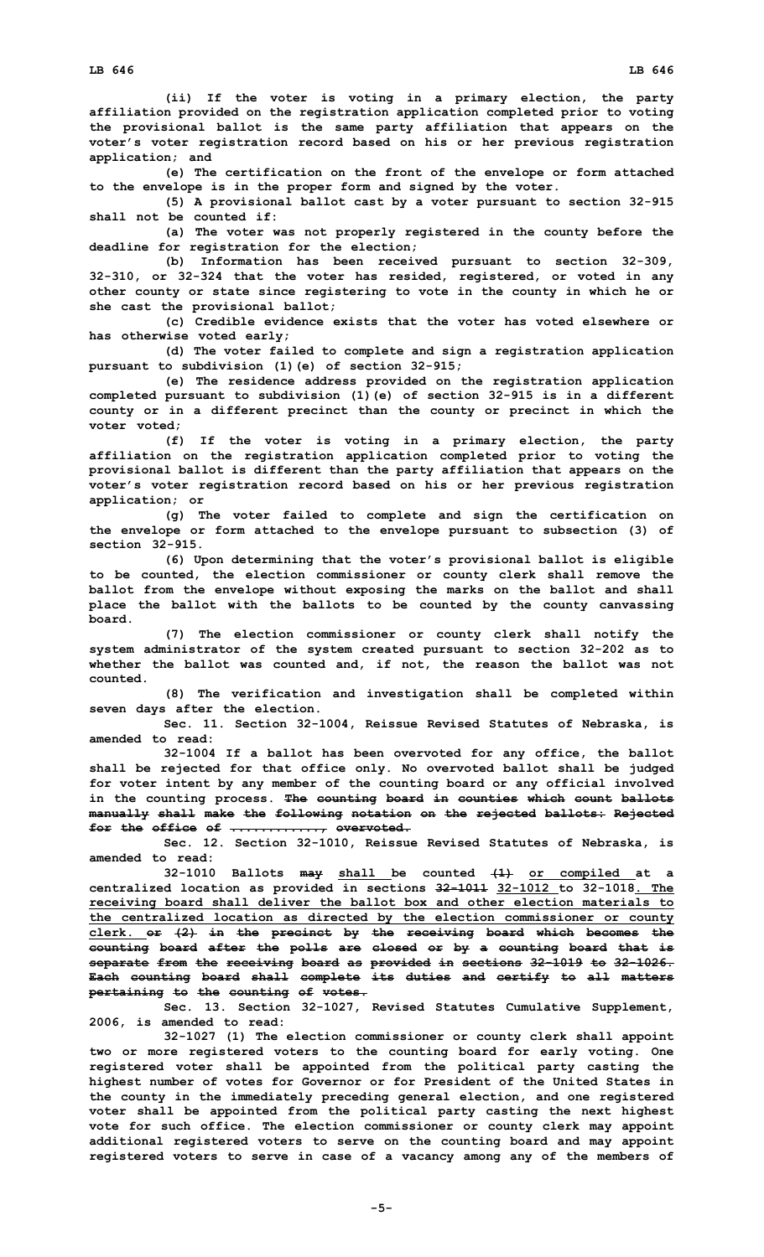**(ii) If the voter is voting in <sup>a</sup> primary election, the party affiliation provided on the registration application completed prior to voting the provisional ballot is the same party affiliation that appears on the voter's voter registration record based on his or her previous registration application; and**

**(e) The certification on the front of the envelope or form attached to the envelope is in the proper form and signed by the voter.**

**(5) <sup>A</sup> provisional ballot cast by <sup>a</sup> voter pursuant to section 32-915 shall not be counted if:**

**(a) The voter was not properly registered in the county before the deadline for registration for the election;**

**(b) Information has been received pursuant to section 32-309, 32-310, or 32-324 that the voter has resided, registered, or voted in any other county or state since registering to vote in the county in which he or she cast the provisional ballot;**

**(c) Credible evidence exists that the voter has voted elsewhere or has otherwise voted early;**

**(d) The voter failed to complete and sign <sup>a</sup> registration application pursuant to subdivision (1)(e) of section 32-915;**

**(e) The residence address provided on the registration application completed pursuant to subdivision (1)(e) of section 32-915 is in <sup>a</sup> different county or in <sup>a</sup> different precinct than the county or precinct in which the voter voted;**

**(f) If the voter is voting in <sup>a</sup> primary election, the party affiliation on the registration application completed prior to voting the provisional ballot is different than the party affiliation that appears on the voter's voter registration record based on his or her previous registration application; or**

**(g) The voter failed to complete and sign the certification on the envelope or form attached to the envelope pursuant to subsection (3) of section 32-915.**

**(6) Upon determining that the voter's provisional ballot is eligible to be counted, the election commissioner or county clerk shall remove the ballot from the envelope without exposing the marks on the ballot and shall place the ballot with the ballots to be counted by the county canvassing board.**

**(7) The election commissioner or county clerk shall notify the system administrator of the system created pursuant to section 32-202 as to whether the ballot was counted and, if not, the reason the ballot was not counted.**

**(8) The verification and investigation shall be completed within seven days after the election.**

**Sec. 11. Section 32-1004, Reissue Revised Statutes of Nebraska, is amended to read:**

**32-1004 If <sup>a</sup> ballot has been overvoted for any office, the ballot shall be rejected for that office only. No overvoted ballot shall be judged for voter intent by any member of the counting board or any official involved in the counting process. The counting board in counties which count ballots manually shall make the following notation on the rejected ballots: Rejected for the office of ............, overvoted.**

**Sec. 12. Section 32-1010, Reissue Revised Statutes of Nebraska, is amended to read:**

**32-1010 Ballots may shall be counted (1) or compiled at <sup>a</sup> centralized location as provided in sections 32-1011 32-1012 to 32-1018. The receiving board shall deliver the ballot box and other election materials to the centralized location as directed by the election commissioner or county clerk. or (2) in the precinct by the receiving board which becomes the counting board after the polls are closed or by <sup>a</sup> counting board that is separate from the receiving board as provided in sections 32-1019 to 32-1026. Each counting board shall complete its duties and certify to all matters pertaining to the counting of votes.**

**Sec. 13. Section 32-1027, Revised Statutes Cumulative Supplement, 2006, is amended to read:**

**32-1027 (1) The election commissioner or county clerk shall appoint two or more registered voters to the counting board for early voting. One registered voter shall be appointed from the political party casting the highest number of votes for Governor or for President of the United States in the county in the immediately preceding general election, and one registered voter shall be appointed from the political party casting the next highest vote for such office. The election commissioner or county clerk may appoint additional registered voters to serve on the counting board and may appoint registered voters to serve in case of <sup>a</sup> vacancy among any of the members of**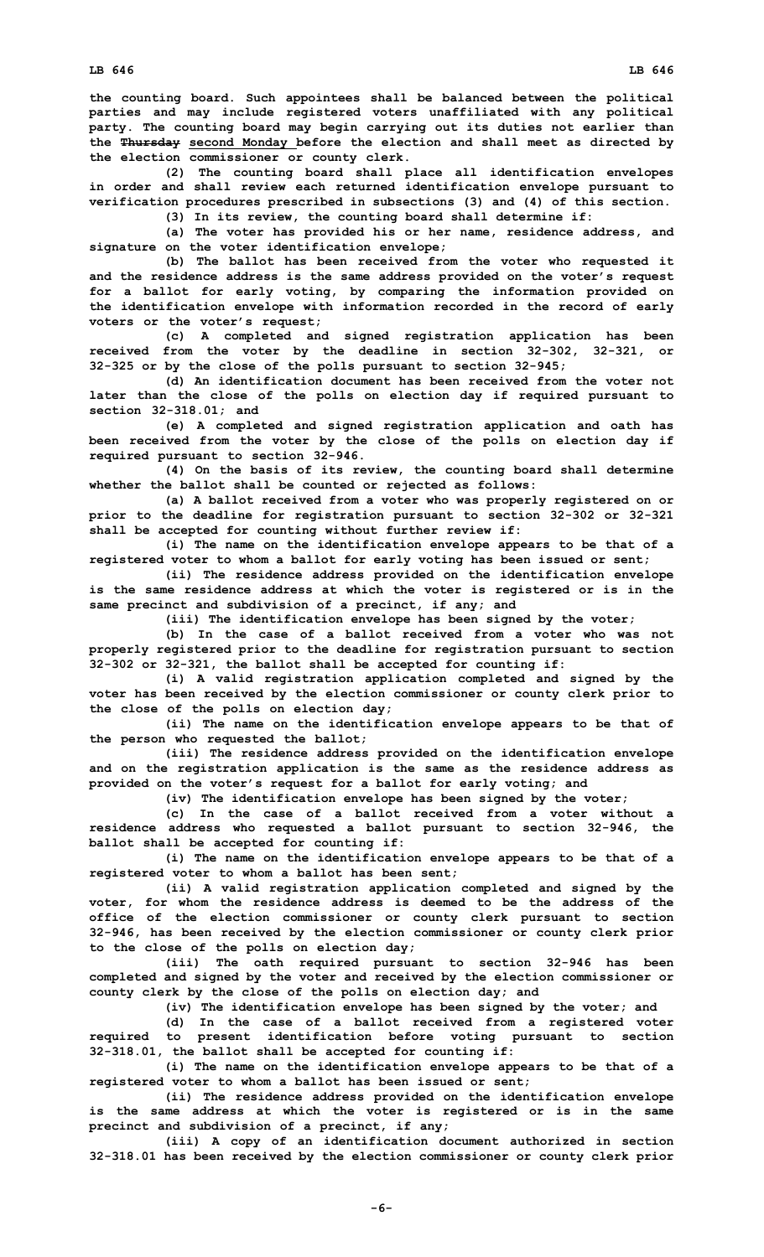**the counting board. Such appointees shall be balanced between the political parties and may include registered voters unaffiliated with any political party. The counting board may begin carrying out its duties not earlier than the Thursday second Monday before the election and shall meet as directed by the election commissioner or county clerk.**

**(2) The counting board shall place all identification envelopes in order and shall review each returned identification envelope pursuant to verification procedures prescribed in subsections (3) and (4) of this section.**

**(3) In its review, the counting board shall determine if:**

**(a) The voter has provided his or her name, residence address, and signature on the voter identification envelope;**

**(b) The ballot has been received from the voter who requested it and the residence address is the same address provided on the voter's request for <sup>a</sup> ballot for early voting, by comparing the information provided on the identification envelope with information recorded in the record of early voters or the voter's request;**

**(c) <sup>A</sup> completed and signed registration application has been received from the voter by the deadline in section 32-302, 32-321, or 32-325 or by the close of the polls pursuant to section 32-945;**

**(d) An identification document has been received from the voter not later than the close of the polls on election day if required pursuant to section 32-318.01; and**

**(e) <sup>A</sup> completed and signed registration application and oath has been received from the voter by the close of the polls on election day if required pursuant to section 32-946.**

**(4) On the basis of its review, the counting board shall determine whether the ballot shall be counted or rejected as follows:**

**(a) <sup>A</sup> ballot received from <sup>a</sup> voter who was properly registered on or prior to the deadline for registration pursuant to section 32-302 or 32-321 shall be accepted for counting without further review if:**

**(i) The name on the identification envelope appears to be that of <sup>a</sup> registered voter to whom <sup>a</sup> ballot for early voting has been issued or sent;**

**(ii) The residence address provided on the identification envelope is the same residence address at which the voter is registered or is in the same precinct and subdivision of <sup>a</sup> precinct, if any; and**

**(iii) The identification envelope has been signed by the voter;**

**(b) In the case of <sup>a</sup> ballot received from <sup>a</sup> voter who was not properly registered prior to the deadline for registration pursuant to section 32-302 or 32-321, the ballot shall be accepted for counting if:**

**(i) <sup>A</sup> valid registration application completed and signed by the voter has been received by the election commissioner or county clerk prior to the close of the polls on election day;**

**(ii) The name on the identification envelope appears to be that of the person who requested the ballot;**

**(iii) The residence address provided on the identification envelope and on the registration application is the same as the residence address as provided on the voter's request for <sup>a</sup> ballot for early voting; and**

**(iv) The identification envelope has been signed by the voter;**

**(c) In the case of <sup>a</sup> ballot received from <sup>a</sup> voter without <sup>a</sup> residence address who requested <sup>a</sup> ballot pursuant to section 32-946, the ballot shall be accepted for counting if:**

**(i) The name on the identification envelope appears to be that of <sup>a</sup> registered voter to whom <sup>a</sup> ballot has been sent;**

**(ii) <sup>A</sup> valid registration application completed and signed by the voter, for whom the residence address is deemed to be the address of the office of the election commissioner or county clerk pursuant to section 32-946, has been received by the election commissioner or county clerk prior to the close of the polls on election day;**

**(iii) The oath required pursuant to section 32-946 has been completed and signed by the voter and received by the election commissioner or county clerk by the close of the polls on election day; and**

**(iv) The identification envelope has been signed by the voter; and**

**(d) In the case of <sup>a</sup> ballot received from <sup>a</sup> registered voter required to present identification before voting pursuant to section 32-318.01, the ballot shall be accepted for counting if:**

**(i) The name on the identification envelope appears to be that of <sup>a</sup> registered voter to whom <sup>a</sup> ballot has been issued or sent;**

**(ii) The residence address provided on the identification envelope is the same address at which the voter is registered or is in the same precinct and subdivision of <sup>a</sup> precinct, if any;**

**(iii) <sup>A</sup> copy of an identification document authorized in section 32-318.01 has been received by the election commissioner or county clerk prior**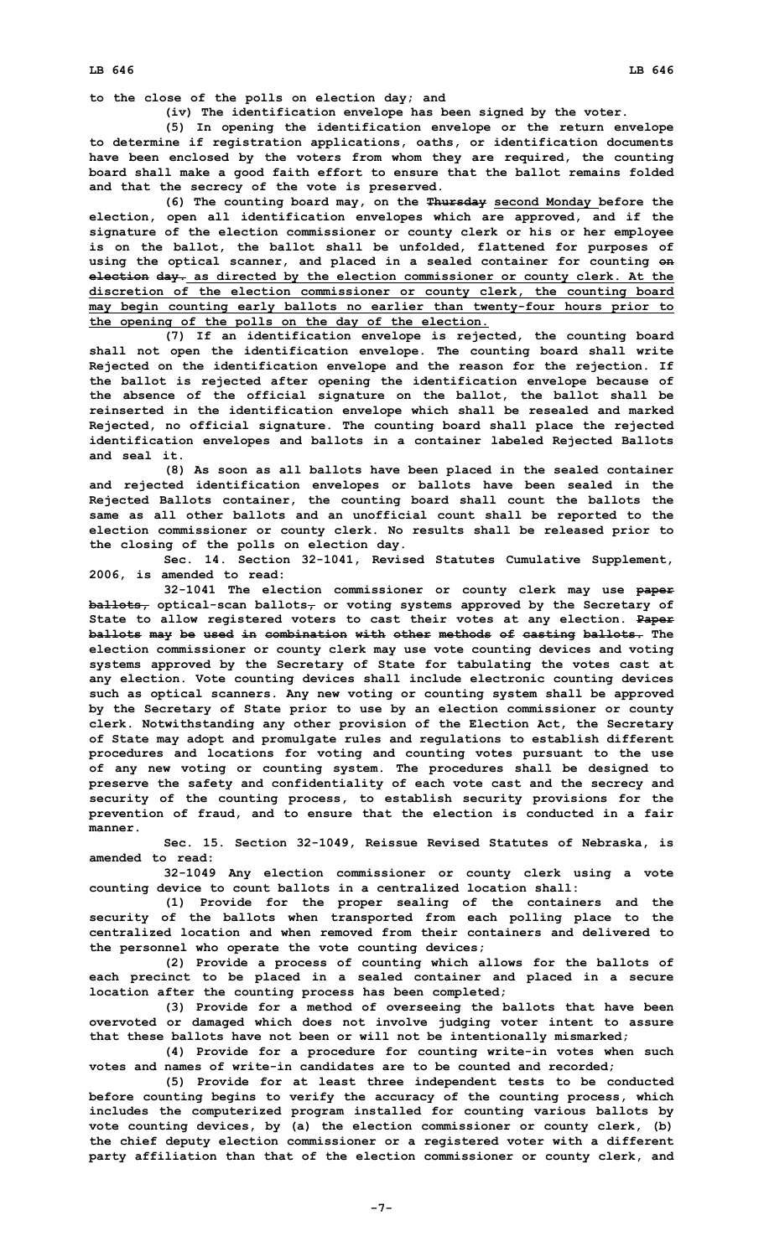**to the close of the polls on election day; and**

**(iv) The identification envelope has been signed by the voter.**

**(5) In opening the identification envelope or the return envelope to determine if registration applications, oaths, or identification documents have been enclosed by the voters from whom they are required, the counting board shall make <sup>a</sup> good faith effort to ensure that the ballot remains folded and that the secrecy of the vote is preserved.**

**(6) The counting board may, on the Thursday second Monday before the election, open all identification envelopes which are approved, and if the signature of the election commissioner or county clerk or his or her employee is on the ballot, the ballot shall be unfolded, flattened for purposes of using the optical scanner, and placed in <sup>a</sup> sealed container for counting on election day. as directed by the election commissioner or county clerk. At the discretion of the election commissioner or county clerk, the counting board may begin counting early ballots no earlier than twenty-four hours prior to the opening of the polls on the day of the election.**

**(7) If an identification envelope is rejected, the counting board shall not open the identification envelope. The counting board shall write Rejected on the identification envelope and the reason for the rejection. If the ballot is rejected after opening the identification envelope because of the absence of the official signature on the ballot, the ballot shall be reinserted in the identification envelope which shall be resealed and marked Rejected, no official signature. The counting board shall place the rejected identification envelopes and ballots in <sup>a</sup> container labeled Rejected Ballots and seal it.**

**(8) As soon as all ballots have been placed in the sealed container and rejected identification envelopes or ballots have been sealed in the Rejected Ballots container, the counting board shall count the ballots the same as all other ballots and an unofficial count shall be reported to the election commissioner or county clerk. No results shall be released prior to the closing of the polls on election day.**

**Sec. 14. Section 32-1041, Revised Statutes Cumulative Supplement, 2006, is amended to read:**

**32-1041 The election commissioner or county clerk may use paper ballots, optical-scan ballots, or voting systems approved by the Secretary of State to allow registered voters to cast their votes at any election. Paper ballots may be used in combination with other methods of casting ballots. The election commissioner or county clerk may use vote counting devices and voting systems approved by the Secretary of State for tabulating the votes cast at any election. Vote counting devices shall include electronic counting devices such as optical scanners. Any new voting or counting system shall be approved by the Secretary of State prior to use by an election commissioner or county clerk. Notwithstanding any other provision of the Election Act, the Secretary of State may adopt and promulgate rules and regulations to establish different procedures and locations for voting and counting votes pursuant to the use of any new voting or counting system. The procedures shall be designed to preserve the safety and confidentiality of each vote cast and the secrecy and security of the counting process, to establish security provisions for the prevention of fraud, and to ensure that the election is conducted in <sup>a</sup> fair manner.**

**Sec. 15. Section 32-1049, Reissue Revised Statutes of Nebraska, is amended to read:**

**32-1049 Any election commissioner or county clerk using <sup>a</sup> vote counting device to count ballots in <sup>a</sup> centralized location shall:**

**(1) Provide for the proper sealing of the containers and the security of the ballots when transported from each polling place to the centralized location and when removed from their containers and delivered to the personnel who operate the vote counting devices;**

**(2) Provide <sup>a</sup> process of counting which allows for the ballots of each precinct to be placed in <sup>a</sup> sealed container and placed in <sup>a</sup> secure location after the counting process has been completed;**

**(3) Provide for <sup>a</sup> method of overseeing the ballots that have been overvoted or damaged which does not involve judging voter intent to assure that these ballots have not been or will not be intentionally mismarked;**

**(4) Provide for <sup>a</sup> procedure for counting write-in votes when such votes and names of write-in candidates are to be counted and recorded;**

**(5) Provide for at least three independent tests to be conducted before counting begins to verify the accuracy of the counting process, which includes the computerized program installed for counting various ballots by vote counting devices, by (a) the election commissioner or county clerk, (b) the chief deputy election commissioner or <sup>a</sup> registered voter with <sup>a</sup> different party affiliation than that of the election commissioner or county clerk, and**